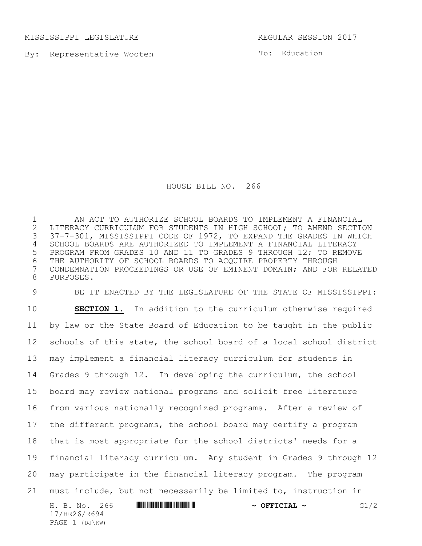MISSISSIPPI LEGISLATURE REGULAR SESSION 2017

PAGE 1 (DJ\KW)

By: Representative Wooten

To: Education

HOUSE BILL NO. 266

 AN ACT TO AUTHORIZE SCHOOL BOARDS TO IMPLEMENT A FINANCIAL 2 LITERACY CURRICULUM FOR STUDENTS IN HIGH SCHOOL; TO AMEND SECTION<br>3 37-7-301, MISSISSIPPI CODE OF 1972, TO EXPAND THE GRADES IN WHICH 37-7-301, MISSISSIPPI CODE OF 1972, TO EXPAND THE GRADES IN WHICH SCHOOL BOARDS ARE AUTHORIZED TO IMPLEMENT A FINANCIAL LITERACY PROGRAM FROM GRADES 10 AND 11 TO GRADES 9 THROUGH 12; TO REMOVE 6 THE AUTHORITY OF SCHOOL BOARDS TO ACQUIRE PROPERTY THROUGH<br>7 CONDEMNATION PROCEEDINGS OR USE OF EMINENT DOMAIN; AND FOR CONDEMNATION PROCEEDINGS OR USE OF EMINENT DOMAIN; AND FOR RELATED PURPOSES.

H. B. No. 266 \*HR26/R694\* **~ OFFICIAL ~** G1/2 17/HR26/R694 BE IT ENACTED BY THE LEGISLATURE OF THE STATE OF MISSISSIPPI: **SECTION 1.** In addition to the curriculum otherwise required by law or the State Board of Education to be taught in the public schools of this state, the school board of a local school district may implement a financial literacy curriculum for students in Grades 9 through 12. In developing the curriculum, the school board may review national programs and solicit free literature from various nationally recognized programs. After a review of the different programs, the school board may certify a program that is most appropriate for the school districts' needs for a financial literacy curriculum. Any student in Grades 9 through 12 may participate in the financial literacy program. The program must include, but not necessarily be limited to, instruction in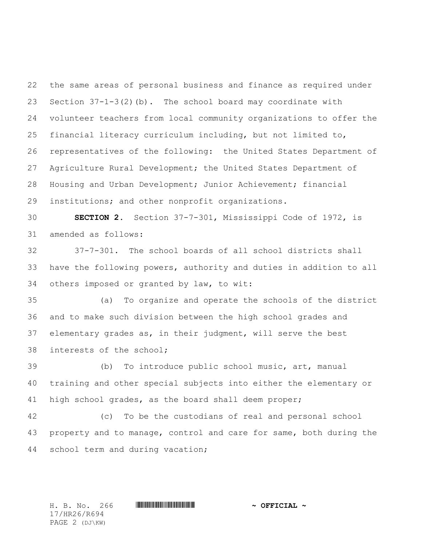the same areas of personal business and finance as required under Section 37-1-3(2)(b). The school board may coordinate with volunteer teachers from local community organizations to offer the financial literacy curriculum including, but not limited to, representatives of the following: the United States Department of Agriculture Rural Development; the United States Department of Housing and Urban Development; Junior Achievement; financial institutions; and other nonprofit organizations.

 **SECTION 2.** Section 37-7-301, Mississippi Code of 1972, is amended as follows:

 37-7-301. The school boards of all school districts shall have the following powers, authority and duties in addition to all others imposed or granted by law, to wit:

 (a) To organize and operate the schools of the district and to make such division between the high school grades and elementary grades as, in their judgment, will serve the best interests of the school;

 (b) To introduce public school music, art, manual training and other special subjects into either the elementary or high school grades, as the board shall deem proper;

 (c) To be the custodians of real and personal school property and to manage, control and care for same, both during the school term and during vacation;

17/HR26/R694 PAGE 2 (DJ\KW)

H. B. No. 266 \*HR26/R694\* **~ OFFICIAL ~**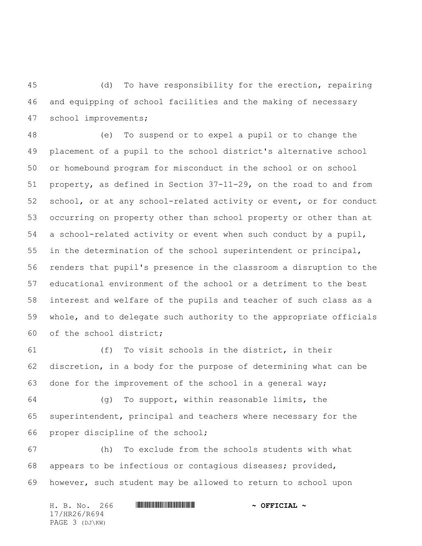(d) To have responsibility for the erection, repairing and equipping of school facilities and the making of necessary school improvements;

 (e) To suspend or to expel a pupil or to change the placement of a pupil to the school district's alternative school or homebound program for misconduct in the school or on school property, as defined in Section 37-11-29, on the road to and from school, or at any school-related activity or event, or for conduct occurring on property other than school property or other than at a school-related activity or event when such conduct by a pupil, in the determination of the school superintendent or principal, renders that pupil's presence in the classroom a disruption to the educational environment of the school or a detriment to the best interest and welfare of the pupils and teacher of such class as a whole, and to delegate such authority to the appropriate officials of the school district;

 (f) To visit schools in the district, in their discretion, in a body for the purpose of determining what can be done for the improvement of the school in a general way;

 (g) To support, within reasonable limits, the superintendent, principal and teachers where necessary for the proper discipline of the school;

 (h) To exclude from the schools students with what appears to be infectious or contagious diseases; provided, however, such student may be allowed to return to school upon

H. B. No. 266 \*HR26/R694\* **~ OFFICIAL ~** 17/HR26/R694 PAGE 3 (DJ\KW)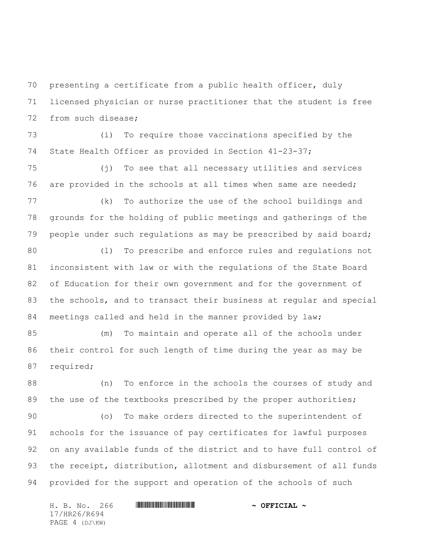presenting a certificate from a public health officer, duly licensed physician or nurse practitioner that the student is free from such disease;

 (i) To require those vaccinations specified by the State Health Officer as provided in Section 41-23-37;

 (j) To see that all necessary utilities and services are provided in the schools at all times when same are needed;

 (k) To authorize the use of the school buildings and grounds for the holding of public meetings and gatherings of the people under such regulations as may be prescribed by said board;

 (l) To prescribe and enforce rules and regulations not inconsistent with law or with the regulations of the State Board of Education for their own government and for the government of the schools, and to transact their business at regular and special meetings called and held in the manner provided by law;

 (m) To maintain and operate all of the schools under their control for such length of time during the year as may be required;

 (n) To enforce in the schools the courses of study and 89 the use of the textbooks prescribed by the proper authorities;

 (o) To make orders directed to the superintendent of schools for the issuance of pay certificates for lawful purposes on any available funds of the district and to have full control of the receipt, distribution, allotment and disbursement of all funds provided for the support and operation of the schools of such

H. B. No. 266 \*HR26/R694\* **~ OFFICIAL ~** 17/HR26/R694 PAGE 4 (DJ\KW)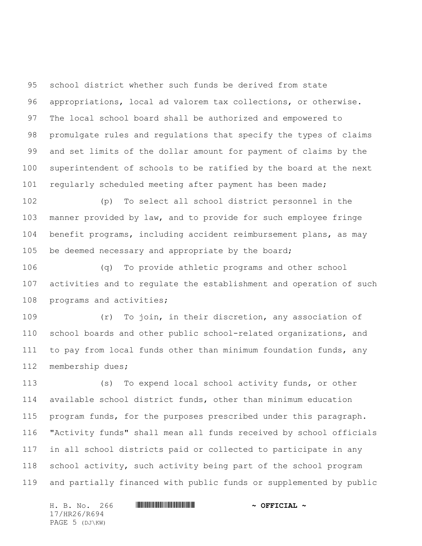school district whether such funds be derived from state appropriations, local ad valorem tax collections, or otherwise. The local school board shall be authorized and empowered to promulgate rules and regulations that specify the types of claims and set limits of the dollar amount for payment of claims by the superintendent of schools to be ratified by the board at the next regularly scheduled meeting after payment has been made;

 (p) To select all school district personnel in the manner provided by law, and to provide for such employee fringe benefit programs, including accident reimbursement plans, as may be deemed necessary and appropriate by the board;

 (q) To provide athletic programs and other school activities and to regulate the establishment and operation of such programs and activities;

 (r) To join, in their discretion, any association of school boards and other public school-related organizations, and to pay from local funds other than minimum foundation funds, any membership dues;

 (s) To expend local school activity funds, or other available school district funds, other than minimum education program funds, for the purposes prescribed under this paragraph. "Activity funds" shall mean all funds received by school officials in all school districts paid or collected to participate in any school activity, such activity being part of the school program and partially financed with public funds or supplemented by public

H. B. No. 266 \*HR26/R694\* **~ OFFICIAL ~** 17/HR26/R694 PAGE 5 (DJ\KW)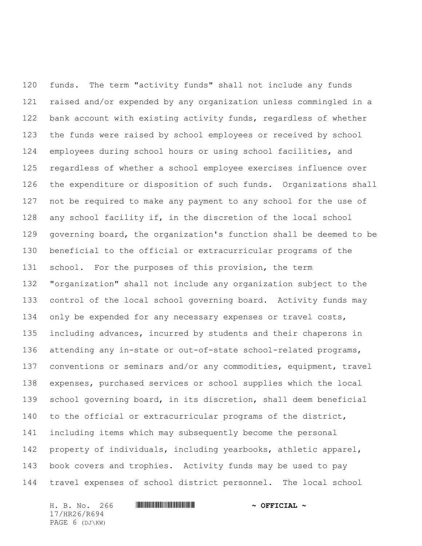funds. The term "activity funds" shall not include any funds raised and/or expended by any organization unless commingled in a bank account with existing activity funds, regardless of whether the funds were raised by school employees or received by school employees during school hours or using school facilities, and regardless of whether a school employee exercises influence over the expenditure or disposition of such funds. Organizations shall not be required to make any payment to any school for the use of any school facility if, in the discretion of the local school governing board, the organization's function shall be deemed to be beneficial to the official or extracurricular programs of the school. For the purposes of this provision, the term "organization" shall not include any organization subject to the control of the local school governing board. Activity funds may only be expended for any necessary expenses or travel costs, including advances, incurred by students and their chaperons in 136 attending any in-state or out-of-state school-related programs, conventions or seminars and/or any commodities, equipment, travel expenses, purchased services or school supplies which the local school governing board, in its discretion, shall deem beneficial to the official or extracurricular programs of the district, including items which may subsequently become the personal property of individuals, including yearbooks, athletic apparel, book covers and trophies. Activity funds may be used to pay travel expenses of school district personnel. The local school

H. B. No. 266 **HRANG AND ALL AND A STATE AND A OFFICIAL ~** 17/HR26/R694 PAGE 6 (DJ\KW)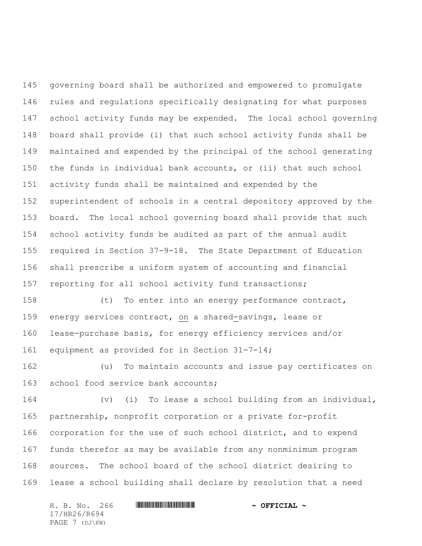governing board shall be authorized and empowered to promulgate rules and regulations specifically designating for what purposes school activity funds may be expended. The local school governing board shall provide (i) that such school activity funds shall be maintained and expended by the principal of the school generating the funds in individual bank accounts, or (ii) that such school activity funds shall be maintained and expended by the superintendent of schools in a central depository approved by the board. The local school governing board shall provide that such school activity funds be audited as part of the annual audit required in Section 37-9-18. The State Department of Education shall prescribe a uniform system of accounting and financial reporting for all school activity fund transactions;

 (t) To enter into an energy performance contract, energy services contract, on a shared-savings, lease or lease-purchase basis, for energy efficiency services and/or equipment as provided for in Section 31-7-14;

 (u) To maintain accounts and issue pay certificates on school food service bank accounts;

 (v) (i) To lease a school building from an individual, partnership, nonprofit corporation or a private for-profit corporation for the use of such school district, and to expend funds therefor as may be available from any nonminimum program sources. The school board of the school district desiring to lease a school building shall declare by resolution that a need

H. B. No. 266 **HRANG AND ALL AND A STATE AND A OFFICIAL ~** 17/HR26/R694 PAGE 7 (DJ\KW)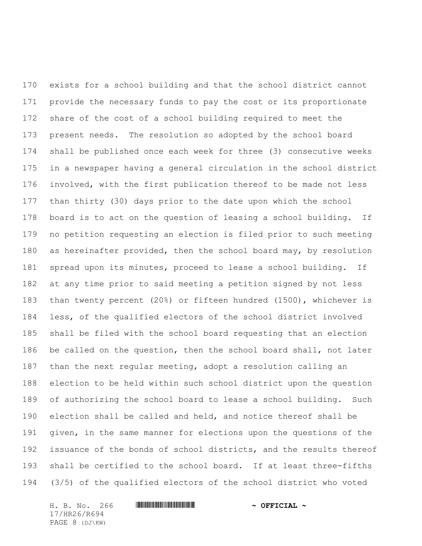exists for a school building and that the school district cannot provide the necessary funds to pay the cost or its proportionate share of the cost of a school building required to meet the present needs. The resolution so adopted by the school board shall be published once each week for three (3) consecutive weeks in a newspaper having a general circulation in the school district involved, with the first publication thereof to be made not less than thirty (30) days prior to the date upon which the school board is to act on the question of leasing a school building. If no petition requesting an election is filed prior to such meeting as hereinafter provided, then the school board may, by resolution spread upon its minutes, proceed to lease a school building. If at any time prior to said meeting a petition signed by not less than twenty percent (20%) or fifteen hundred (1500), whichever is less, of the qualified electors of the school district involved shall be filed with the school board requesting that an election be called on the question, then the school board shall, not later than the next regular meeting, adopt a resolution calling an election to be held within such school district upon the question of authorizing the school board to lease a school building. Such election shall be called and held, and notice thereof shall be given, in the same manner for elections upon the questions of the issuance of the bonds of school districts, and the results thereof shall be certified to the school board. If at least three-fifths (3/5) of the qualified electors of the school district who voted

H. B. No. 266 \*HR26/R694\* **~ OFFICIAL ~** 17/HR26/R694 PAGE 8 (DJ\KW)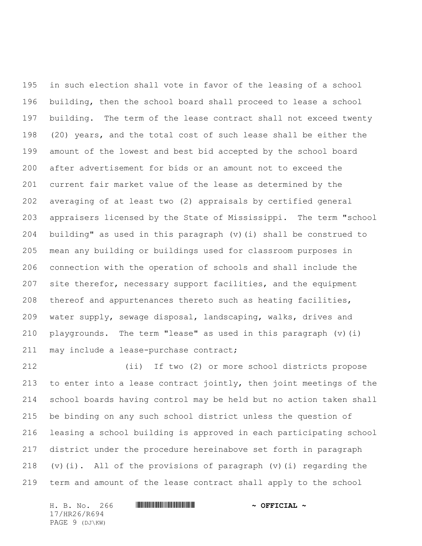in such election shall vote in favor of the leasing of a school building, then the school board shall proceed to lease a school building. The term of the lease contract shall not exceed twenty (20) years, and the total cost of such lease shall be either the amount of the lowest and best bid accepted by the school board after advertisement for bids or an amount not to exceed the current fair market value of the lease as determined by the averaging of at least two (2) appraisals by certified general appraisers licensed by the State of Mississippi. The term "school building" as used in this paragraph (v)(i) shall be construed to mean any building or buildings used for classroom purposes in connection with the operation of schools and shall include the site therefor, necessary support facilities, and the equipment thereof and appurtenances thereto such as heating facilities, water supply, sewage disposal, landscaping, walks, drives and playgrounds. The term "lease" as used in this paragraph (v)(i) 211 may include a lease-purchase contract;

 (ii) If two (2) or more school districts propose to enter into a lease contract jointly, then joint meetings of the school boards having control may be held but no action taken shall be binding on any such school district unless the question of leasing a school building is approved in each participating school district under the procedure hereinabove set forth in paragraph 218 (v)(i). All of the provisions of paragraph (v)(i) regarding the term and amount of the lease contract shall apply to the school

H. B. No. 266 \*HR26/R694\* **~ OFFICIAL ~** 17/HR26/R694 PAGE 9 (DJ\KW)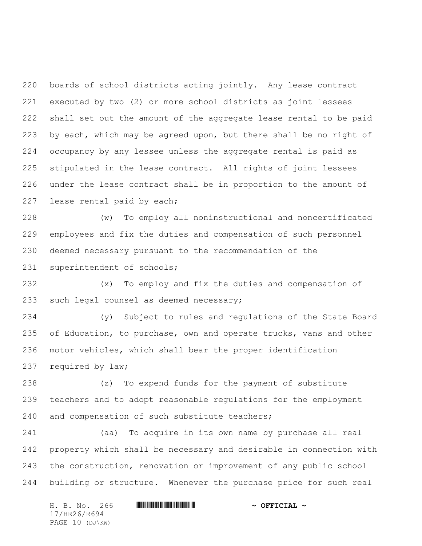boards of school districts acting jointly. Any lease contract executed by two (2) or more school districts as joint lessees shall set out the amount of the aggregate lease rental to be paid by each, which may be agreed upon, but there shall be no right of occupancy by any lessee unless the aggregate rental is paid as stipulated in the lease contract. All rights of joint lessees under the lease contract shall be in proportion to the amount of lease rental paid by each;

 (w) To employ all noninstructional and noncertificated employees and fix the duties and compensation of such personnel deemed necessary pursuant to the recommendation of the superintendent of schools;

 (x) To employ and fix the duties and compensation of such legal counsel as deemed necessary;

 (y) Subject to rules and regulations of the State Board 235 of Education, to purchase, own and operate trucks, vans and other motor vehicles, which shall bear the proper identification required by law;

 (z) To expend funds for the payment of substitute teachers and to adopt reasonable regulations for the employment and compensation of such substitute teachers;

 (aa) To acquire in its own name by purchase all real property which shall be necessary and desirable in connection with the construction, renovation or improvement of any public school building or structure. Whenever the purchase price for such real

H. B. No. 266 \*HR26/R694\* **~ OFFICIAL ~** 17/HR26/R694 PAGE 10 (DJ\KW)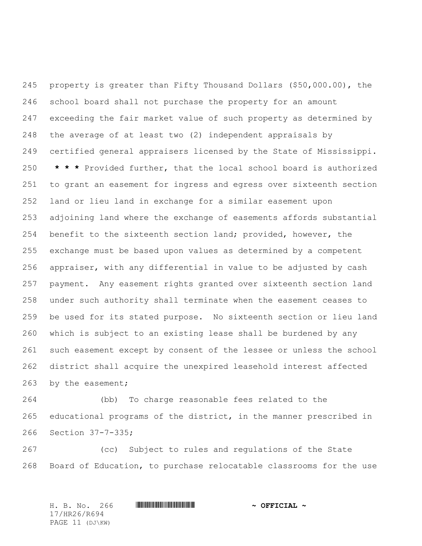property is greater than Fifty Thousand Dollars (\$50,000.00), the school board shall not purchase the property for an amount exceeding the fair market value of such property as determined by the average of at least two (2) independent appraisals by certified general appraisers licensed by the State of Mississippi. **\* \* \*** Provided further, that the local school board is authorized to grant an easement for ingress and egress over sixteenth section land or lieu land in exchange for a similar easement upon adjoining land where the exchange of easements affords substantial benefit to the sixteenth section land; provided, however, the exchange must be based upon values as determined by a competent appraiser, with any differential in value to be adjusted by cash payment. Any easement rights granted over sixteenth section land under such authority shall terminate when the easement ceases to be used for its stated purpose. No sixteenth section or lieu land which is subject to an existing lease shall be burdened by any such easement except by consent of the lessee or unless the school district shall acquire the unexpired leasehold interest affected by the easement;

 (bb) To charge reasonable fees related to the educational programs of the district, in the manner prescribed in Section 37-7-335;

 (cc) Subject to rules and regulations of the State Board of Education, to purchase relocatable classrooms for the use

H. B. No. 266 \*HR26/R694\* **~ OFFICIAL ~** 17/HR26/R694 PAGE 11 (DJ\KW)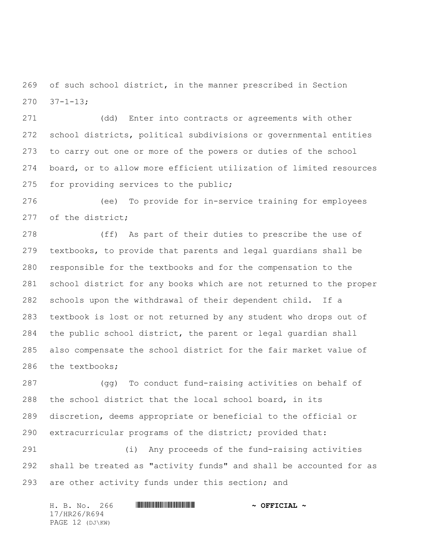of such school district, in the manner prescribed in Section  $270 \quad 37 - 1 - 13;$ 

 (dd) Enter into contracts or agreements with other school districts, political subdivisions or governmental entities to carry out one or more of the powers or duties of the school board, or to allow more efficient utilization of limited resources for providing services to the public;

 (ee) To provide for in-service training for employees of the district;

 (ff) As part of their duties to prescribe the use of textbooks, to provide that parents and legal guardians shall be responsible for the textbooks and for the compensation to the school district for any books which are not returned to the proper schools upon the withdrawal of their dependent child. If a textbook is lost or not returned by any student who drops out of the public school district, the parent or legal guardian shall also compensate the school district for the fair market value of the textbooks;

 (gg) To conduct fund-raising activities on behalf of the school district that the local school board, in its discretion, deems appropriate or beneficial to the official or extracurricular programs of the district; provided that:

 (i) Any proceeds of the fund-raising activities shall be treated as "activity funds" and shall be accounted for as are other activity funds under this section; and

|              |  |  | H. B. No. 266   |  |  | $\sim$ OFFICIAL $\sim$ |
|--------------|--|--|-----------------|--|--|------------------------|
| 17/HR26/R694 |  |  |                 |  |  |                        |
|              |  |  | PAGE 12 (DJ\KW) |  |  |                        |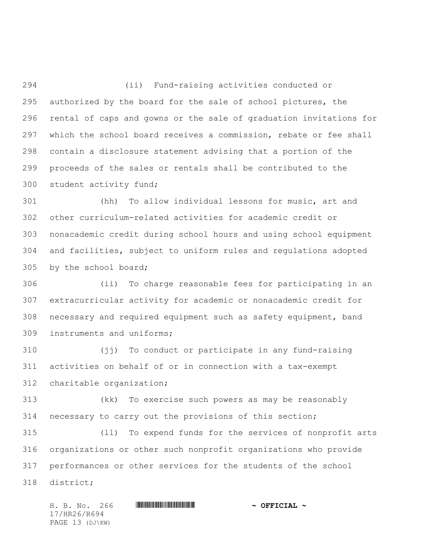(ii) Fund-raising activities conducted or authorized by the board for the sale of school pictures, the rental of caps and gowns or the sale of graduation invitations for which the school board receives a commission, rebate or fee shall contain a disclosure statement advising that a portion of the proceeds of the sales or rentals shall be contributed to the student activity fund;

 (hh) To allow individual lessons for music, art and other curriculum-related activities for academic credit or nonacademic credit during school hours and using school equipment and facilities, subject to uniform rules and regulations adopted by the school board;

 (ii) To charge reasonable fees for participating in an extracurricular activity for academic or nonacademic credit for necessary and required equipment such as safety equipment, band instruments and uniforms;

 (jj) To conduct or participate in any fund-raising activities on behalf of or in connection with a tax-exempt charitable organization;

 (kk) To exercise such powers as may be reasonably necessary to carry out the provisions of this section;

 (ll) To expend funds for the services of nonprofit arts organizations or other such nonprofit organizations who provide performances or other services for the students of the school district;

H. B. No. 266 \*HR26/R694\* **~ OFFICIAL ~** 17/HR26/R694 PAGE 13 (DJ\KW)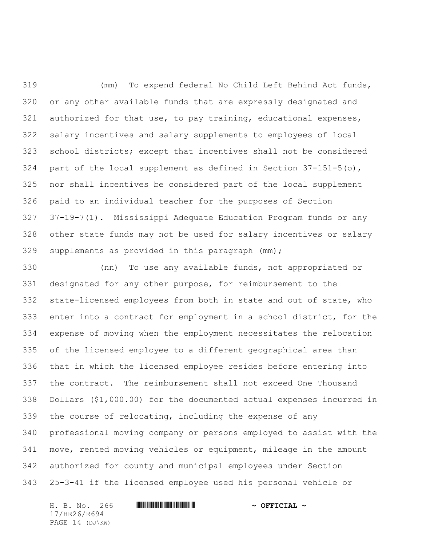(mm) To expend federal No Child Left Behind Act funds, or any other available funds that are expressly designated and 321 authorized for that use, to pay training, educational expenses, salary incentives and salary supplements to employees of local school districts; except that incentives shall not be considered 324 part of the local supplement as defined in Section  $37-151-5$  (o), nor shall incentives be considered part of the local supplement paid to an individual teacher for the purposes of Section 37-19-7(1). Mississippi Adequate Education Program funds or any other state funds may not be used for salary incentives or salary supplements as provided in this paragraph (mm);

 (nn) To use any available funds, not appropriated or designated for any other purpose, for reimbursement to the state-licensed employees from both in state and out of state, who enter into a contract for employment in a school district, for the expense of moving when the employment necessitates the relocation of the licensed employee to a different geographical area than that in which the licensed employee resides before entering into the contract. The reimbursement shall not exceed One Thousand Dollars (\$1,000.00) for the documented actual expenses incurred in the course of relocating, including the expense of any professional moving company or persons employed to assist with the move, rented moving vehicles or equipment, mileage in the amount authorized for county and municipal employees under Section 25-3-41 if the licensed employee used his personal vehicle or

H. B. No. 266 \*HR26/R694\* **~ OFFICIAL ~** 17/HR26/R694 PAGE 14 (DJ\KW)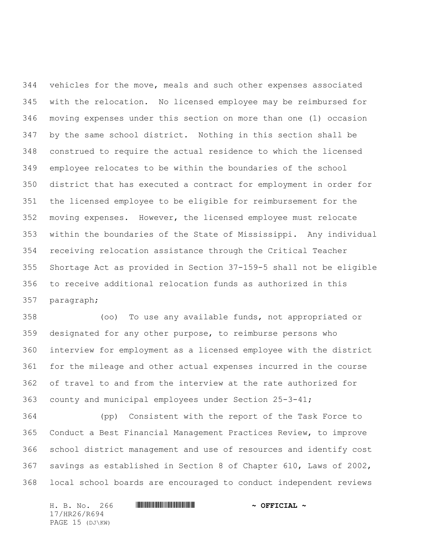vehicles for the move, meals and such other expenses associated with the relocation. No licensed employee may be reimbursed for moving expenses under this section on more than one (1) occasion by the same school district. Nothing in this section shall be construed to require the actual residence to which the licensed employee relocates to be within the boundaries of the school district that has executed a contract for employment in order for the licensed employee to be eligible for reimbursement for the moving expenses. However, the licensed employee must relocate within the boundaries of the State of Mississippi. Any individual receiving relocation assistance through the Critical Teacher Shortage Act as provided in Section 37-159-5 shall not be eligible to receive additional relocation funds as authorized in this paragraph;

 (oo) To use any available funds, not appropriated or designated for any other purpose, to reimburse persons who interview for employment as a licensed employee with the district for the mileage and other actual expenses incurred in the course of travel to and from the interview at the rate authorized for county and municipal employees under Section 25-3-41;

 (pp) Consistent with the report of the Task Force to Conduct a Best Financial Management Practices Review, to improve school district management and use of resources and identify cost savings as established in Section 8 of Chapter 610, Laws of 2002, local school boards are encouraged to conduct independent reviews

H. B. No. 266 \*HR26/R694\* **~ OFFICIAL ~** 17/HR26/R694 PAGE 15 (DJ\KW)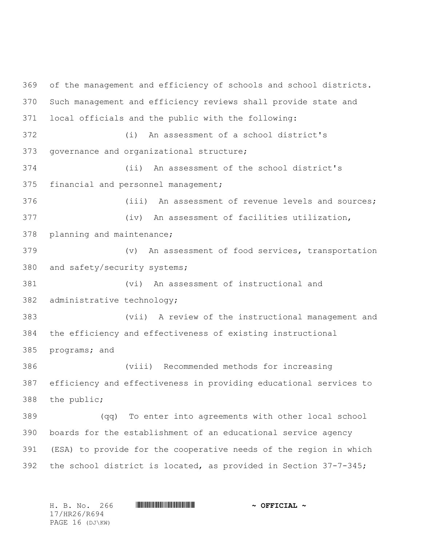of the management and efficiency of schools and school districts. Such management and efficiency reviews shall provide state and local officials and the public with the following: (i) An assessment of a school district's governance and organizational structure; (ii) An assessment of the school district's financial and personnel management; (iii) An assessment of revenue levels and sources; (iv) An assessment of facilities utilization, planning and maintenance; (v) An assessment of food services, transportation and safety/security systems; (vi) An assessment of instructional and administrative technology; (vii) A review of the instructional management and the efficiency and effectiveness of existing instructional programs; and (viii) Recommended methods for increasing efficiency and effectiveness in providing educational services to the public; (qq) To enter into agreements with other local school boards for the establishment of an educational service agency (ESA) to provide for the cooperative needs of the region in which the school district is located, as provided in Section 37-7-345;

H. B. No. 266 \*HR26/R694\* **~ OFFICIAL ~** 17/HR26/R694 PAGE 16 (DJ\KW)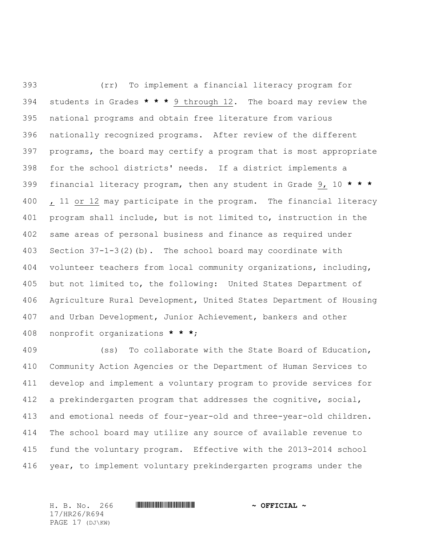(rr) To implement a financial literacy program for students in Grades **\* \* \*** 9 through 12. The board may review the national programs and obtain free literature from various nationally recognized programs. After review of the different programs, the board may certify a program that is most appropriate for the school districts' needs. If a district implements a financial literacy program, then any student in Grade 9, 10 **\* \* \***  400 , 11 or 12 may participate in the program. The financial literacy program shall include, but is not limited to, instruction in the same areas of personal business and finance as required under Section 37-1-3(2)(b). The school board may coordinate with volunteer teachers from local community organizations, including, but not limited to, the following: United States Department of Agriculture Rural Development, United States Department of Housing and Urban Development, Junior Achievement, bankers and other nonprofit organizations **\* \* \***;

 (ss) To collaborate with the State Board of Education, Community Action Agencies or the Department of Human Services to develop and implement a voluntary program to provide services for a prekindergarten program that addresses the cognitive, social, and emotional needs of four-year-old and three-year-old children. The school board may utilize any source of available revenue to fund the voluntary program. Effective with the 2013-2014 school year, to implement voluntary prekindergarten programs under the

H. B. No. 266 \*HR26/R694\* **~ OFFICIAL ~** 17/HR26/R694 PAGE 17 (DJ\KW)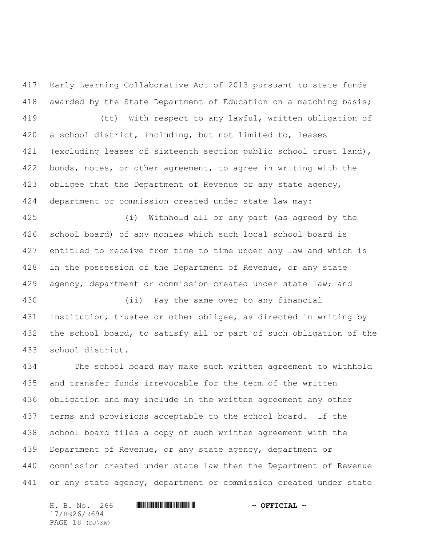Early Learning Collaborative Act of 2013 pursuant to state funds awarded by the State Department of Education on a matching basis; (tt) With respect to any lawful, written obligation of a school district, including, but not limited to, leases 421 (excluding leases of sixteenth section public school trust land), 422 bonds, notes, or other agreement, to agree in writing with the 423 obligee that the Department of Revenue or any state agency, department or commission created under state law may:

 (i) Withhold all or any part (as agreed by the school board) of any monies which such local school board is entitled to receive from time to time under any law and which is 428 in the possession of the Department of Revenue, or any state 429 agency, department or commission created under state law; and

 (ii) Pay the same over to any financial institution, trustee or other obligee, as directed in writing by the school board, to satisfy all or part of such obligation of the school district.

 The school board may make such written agreement to withhold and transfer funds irrevocable for the term of the written obligation and may include in the written agreement any other terms and provisions acceptable to the school board. If the school board files a copy of such written agreement with the Department of Revenue, or any state agency, department or commission created under state law then the Department of Revenue 441 or any state agency, department or commission created under state

H. B. No. 266 \*HR26/R694\* **~ OFFICIAL ~** 17/HR26/R694 PAGE 18 (DJ\KW)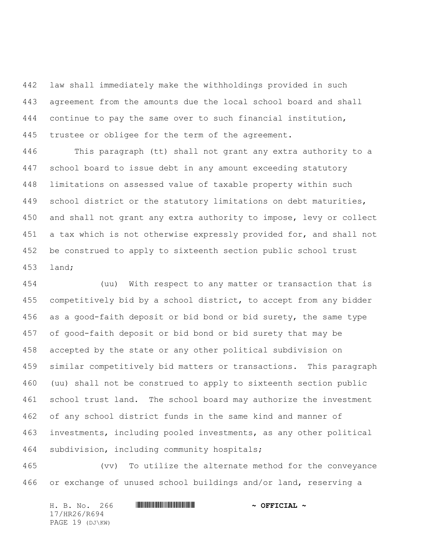law shall immediately make the withholdings provided in such agreement from the amounts due the local school board and shall continue to pay the same over to such financial institution, trustee or obligee for the term of the agreement.

 This paragraph (tt) shall not grant any extra authority to a school board to issue debt in any amount exceeding statutory limitations on assessed value of taxable property within such school district or the statutory limitations on debt maturities, and shall not grant any extra authority to impose, levy or collect 451 a tax which is not otherwise expressly provided for, and shall not be construed to apply to sixteenth section public school trust land;

 (uu) With respect to any matter or transaction that is competitively bid by a school district, to accept from any bidder as a good-faith deposit or bid bond or bid surety, the same type of good-faith deposit or bid bond or bid surety that may be accepted by the state or any other political subdivision on similar competitively bid matters or transactions. This paragraph (uu) shall not be construed to apply to sixteenth section public school trust land. The school board may authorize the investment of any school district funds in the same kind and manner of investments, including pooled investments, as any other political subdivision, including community hospitals;

 (vv) To utilize the alternate method for the conveyance or exchange of unused school buildings and/or land, reserving a

H. B. No. 266 **HRANG AND ALL AND A STATE AND A OFFICIAL ~** 17/HR26/R694 PAGE 19 (DJ\KW)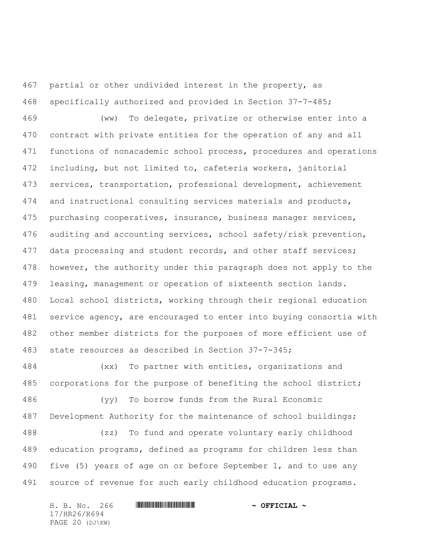partial or other undivided interest in the property, as specifically authorized and provided in Section 37-7-485;

 (ww) To delegate, privatize or otherwise enter into a contract with private entities for the operation of any and all functions of nonacademic school process, procedures and operations including, but not limited to, cafeteria workers, janitorial services, transportation, professional development, achievement and instructional consulting services materials and products, purchasing cooperatives, insurance, business manager services, auditing and accounting services, school safety/risk prevention, 477 data processing and student records, and other staff services; 478 however, the authority under this paragraph does not apply to the leasing, management or operation of sixteenth section lands. Local school districts, working through their regional education service agency, are encouraged to enter into buying consortia with other member districts for the purposes of more efficient use of state resources as described in Section 37-7-345;

 (xx) To partner with entities, organizations and corporations for the purpose of benefiting the school district;

 (yy) To borrow funds from the Rural Economic Development Authority for the maintenance of school buildings;

 (zz) To fund and operate voluntary early childhood education programs, defined as programs for children less than 490 five (5) years of age on or before September 1, and to use any source of revenue for such early childhood education programs.

H. B. No. 266 \*HR26/R694\* **~ OFFICIAL ~** 17/HR26/R694 PAGE 20 (DJ\KW)